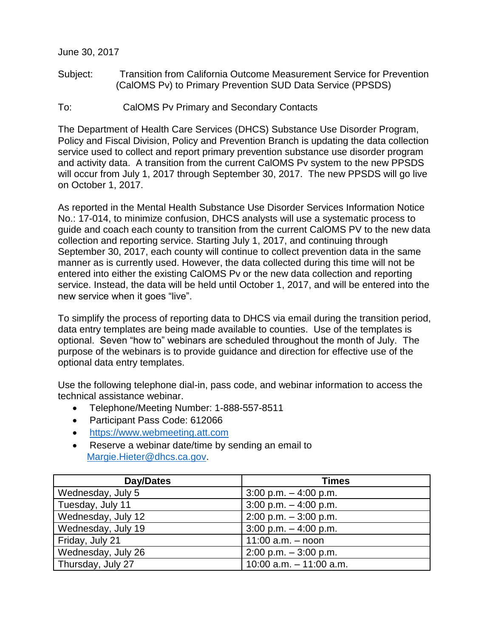## June 30, 2017

- Subject: Transition from California Outcome Measurement Service for Prevention (CalOMS Pv) to Primary Prevention SUD Data Service (PPSDS)
- To: CalOMS Pv Primary and Secondary Contacts

The Department of Health Care Services (DHCS) Substance Use Disorder Program, Policy and Fiscal Division, Policy and Prevention Branch is updating the data collection service used to collect and report primary prevention substance use disorder program and activity data. A transition from the current CalOMS Pv system to the new PPSDS will occur from July 1, 2017 through September 30, 2017. The new PPSDS will go live on October 1, 2017.

As reported in the Mental Health Substance Use Disorder Services Information Notice No.: 17-014, to minimize confusion, DHCS analysts will use a systematic process to guide and coach each county to transition from the current CalOMS PV to the new data collection and reporting service. Starting July 1, 2017, and continuing through September 30, 2017, each county will continue to collect prevention data in the same manner as is currently used. However, the data collected during this time will not be entered into either the existing CalOMS Pv or the new data collection and reporting service. Instead, the data will be held until October 1, 2017, and will be entered into the new service when it goes "live".

To simplify the process of reporting data to DHCS via email during the transition period, data entry templates are being made available to counties. Use of the templates is optional. Seven "how to" webinars are scheduled throughout the month of July. The purpose of the webinars is to provide guidance and direction for effective use of the optional data entry templates.

Use the following telephone dial-in, pass code, and webinar information to access the technical assistance webinar.

- Telephone/Meeting Number: 1-888-557-8511
- Participant Pass Code: 612066
- [https://www.webmeeting.att.com](https://urldefense.proofpoint.com/v2/url?u=https-3A__www.webmeeting.att.com&d=DwMFAg&c=B8hLLxvpkjWR43jQzFdKiDTIWYeIS5FePbXUbD-Ywb4&r=DfnwDnPIqPQjOM3NgZf-svDi7EIh7LslptN0gM7meOU&m=Wa_eHzegdLpEinFqrbrrz7LtnWsQYT3ZO6UYFJEd7D4&s=c2p4xiQdsMmGkG5x_SLmf4yf_qK3jXiLSfvJcLB5NFg&e=)
- Reserve a webinar date/time by sending an email to [Margie.Hieter@dhcs.ca.gov.](mailto:Margie.Hieter@dhcs.ca.gov)

| Day/Dates          | <b>Times</b>              |
|--------------------|---------------------------|
| Wednesday, July 5  | $3:00$ p.m. $-4:00$ p.m.  |
| Tuesday, July 11   | $3:00$ p.m. $-4:00$ p.m.  |
| Wednesday, July 12 | $2:00$ p.m. $-3:00$ p.m.  |
| Wednesday, July 19 | $3:00$ p.m. $-4:00$ p.m.  |
| Friday, July 21    | 11:00 $a.m. -$ noon       |
| Wednesday, July 26 | $2:00$ p.m. $-3:00$ p.m.  |
| Thursday, July 27  | 10:00 $a.m. - 11:00 a.m.$ |